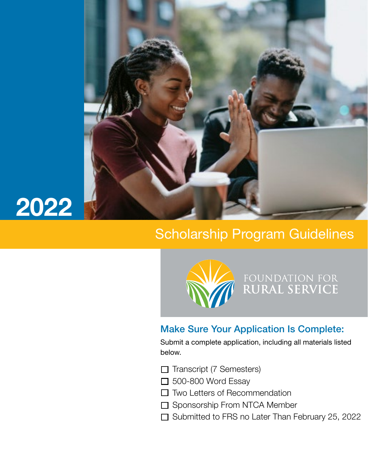



# Scholarship Program Guidelines



FOUNDATION FOR<br>**RURAL SERVICE** 

# Make Sure Your Application Is Complete:

Submit a complete application, including all materials listed below.

- $\Box$  Transcript (7 Semesters)
- $\Box$  500-800 Word Essay
- $\Box$  Two Letters of Recommendation
- □ Sponsorship From NTCA Member
- $\Box$  Submitted to FRS no Later Than February 25, 2022